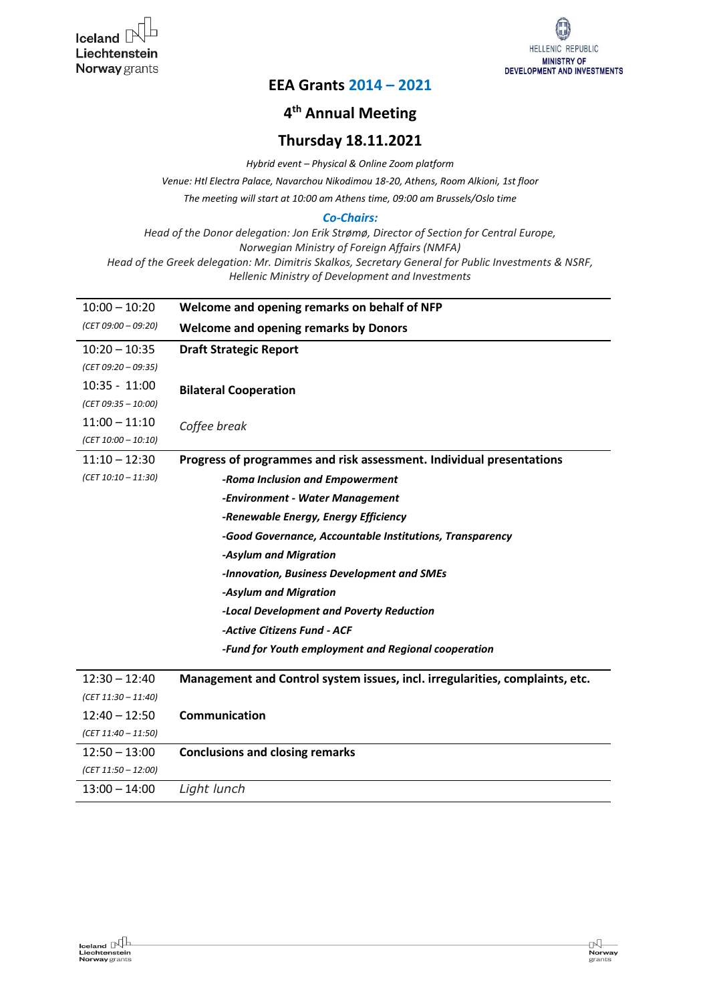

## **EEA Grants 2014 – 2021**

# **4 th Annual Meeting**

### **Thursday 18.11.2021**

*Hybrid event – Physical & Online Zoom platform*

*Venue: Htl Electra Palace, Navarchou Nikodimou 18-20, Athens, Room Alkioni, 1st floor*

*The meeting will start at 10:00 am Athens time, 09:00 am Brussels/Oslo time*

#### *Co-Chairs:*

*Head of the Donor delegation: Jon Erik Strømø, Director of Section for Central Europe, Norwegian Ministry of Foreign Affairs (NMFA) Head of the Greek delegation: Mr. Dimitris Skalkos, Secretary General for Public Investments & NSRF, Hellenic Ministry of Development and Investments*

| $10:00 - 10:20$       | Welcome and opening remarks on behalf of NFP                                 |
|-----------------------|------------------------------------------------------------------------------|
| $(CET 09:00 - 09:20)$ | <b>Welcome and opening remarks by Donors</b>                                 |
| $10:20 - 10:35$       | <b>Draft Strategic Report</b>                                                |
| $(CET 09:20 - 09:35)$ |                                                                              |
| $10:35 - 11:00$       | <b>Bilateral Cooperation</b>                                                 |
| $(CET 09:35 - 10:00)$ |                                                                              |
| $11:00 - 11:10$       | Coffee break                                                                 |
| $(CET 10:00 - 10:10)$ |                                                                              |
| $11:10 - 12:30$       | Progress of programmes and risk assessment. Individual presentations         |
| $(CET 10:10 - 11:30)$ | -Roma Inclusion and Empowerment                                              |
|                       | -Environment - Water Management                                              |
|                       | -Renewable Energy, Energy Efficiency                                         |
|                       | -Good Governance, Accountable Institutions, Transparency                     |
|                       | -Asylum and Migration                                                        |
|                       | -Innovation, Business Development and SMEs                                   |
|                       | -Asylum and Migration                                                        |
|                       | -Local Development and Poverty Reduction                                     |
|                       | -Active Citizens Fund - ACF                                                  |
|                       | -Fund for Youth employment and Regional cooperation                          |
| $12:30 - 12:40$       | Management and Control system issues, incl. irregularities, complaints, etc. |
| $(CET 11:30 - 11:40)$ |                                                                              |
| $12:40 - 12:50$       | Communication                                                                |
| $(CET 11:40 - 11:50)$ |                                                                              |
| $12:50 - 13:00$       | <b>Conclusions and closing remarks</b>                                       |
| $(CET 11:50 - 12:00)$ |                                                                              |
| $13:00 - 14:00$       | Light lunch                                                                  |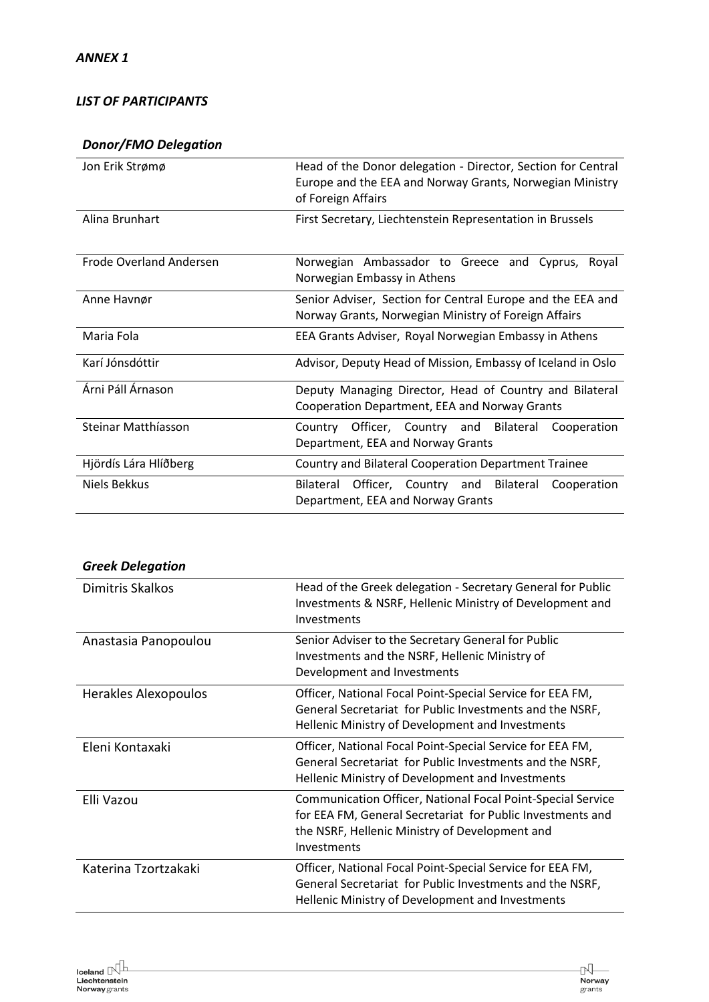#### *LIST OF PARTICIPANTS*

### *Donor/FMO Delegation*

| Jon Erik Strømø                | Head of the Donor delegation - Director, Section for Central<br>Europe and the EEA and Norway Grants, Norwegian Ministry<br>of Foreign Affairs |
|--------------------------------|------------------------------------------------------------------------------------------------------------------------------------------------|
| Alina Brunhart                 | First Secretary, Liechtenstein Representation in Brussels                                                                                      |
| <b>Frode Overland Andersen</b> | Norwegian Ambassador to Greece and Cyprus,<br>Roval<br>Norwegian Embassy in Athens                                                             |
| Anne Havnør                    | Senior Adviser, Section for Central Europe and the EEA and<br>Norway Grants, Norwegian Ministry of Foreign Affairs                             |
| Maria Fola                     | EEA Grants Adviser, Royal Norwegian Embassy in Athens                                                                                          |
| Karí Jónsdóttir                | Advisor, Deputy Head of Mission, Embassy of Iceland in Oslo                                                                                    |
| Árni Páll Árnason              | Deputy Managing Director, Head of Country and Bilateral<br>Cooperation Department, EEA and Norway Grants                                       |
| Steinar Matthíasson            | Officer, Country and Bilateral<br>Cooperation<br>Country<br>Department, EEA and Norway Grants                                                  |
| Hjördís Lára Hlíðberg          | Country and Bilateral Cooperation Department Trainee                                                                                           |
| Niels Bekkus                   | Officer, Country and Bilateral<br><b>Bilateral</b><br>Cooperation<br>Department, EEA and Norway Grants                                         |

#### *Greek Delegation*

| Dimitris Skalkos     | Head of the Greek delegation - Secretary General for Public<br>Investments & NSRF, Hellenic Ministry of Development and<br>Investments                                                            |
|----------------------|---------------------------------------------------------------------------------------------------------------------------------------------------------------------------------------------------|
| Anastasia Panopoulou | Senior Adviser to the Secretary General for Public<br>Investments and the NSRF, Hellenic Ministry of<br>Development and Investments                                                               |
| Herakles Alexopoulos | Officer, National Focal Point-Special Service for EEA FM,<br>General Secretariat for Public Investments and the NSRF,<br>Hellenic Ministry of Development and Investments                         |
| Eleni Kontaxaki      | Officer, National Focal Point-Special Service for EEA FM,<br>General Secretariat for Public Investments and the NSRF,<br>Hellenic Ministry of Development and Investments                         |
| Elli Vazou           | <b>Communication Officer, National Focal Point-Special Service</b><br>for EEA FM, General Secretariat for Public Investments and<br>the NSRF, Hellenic Ministry of Development and<br>Investments |
| Katerina Tzortzakaki | Officer, National Focal Point-Special Service for EEA FM,<br>General Secretariat for Public Investments and the NSRF,<br>Hellenic Ministry of Development and Investments                         |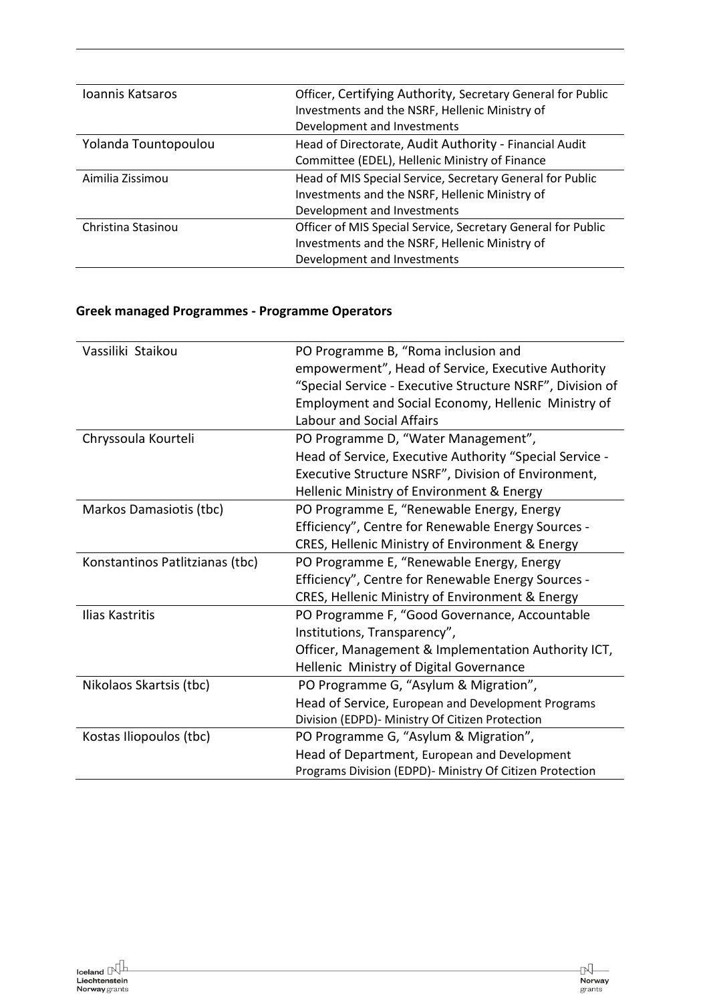| Ioannis Katsaros     | Officer, Certifying Authority, Secretary General for Public  |
|----------------------|--------------------------------------------------------------|
|                      | Investments and the NSRF, Hellenic Ministry of               |
|                      | Development and Investments                                  |
| Yolanda Tountopoulou | Head of Directorate, Audit Authority - Financial Audit       |
|                      | Committee (EDEL), Hellenic Ministry of Finance               |
| Aimilia Zissimou     | Head of MIS Special Service, Secretary General for Public    |
|                      | Investments and the NSRF, Hellenic Ministry of               |
|                      | Development and Investments                                  |
| Christina Stasinou   | Officer of MIS Special Service, Secretary General for Public |
|                      | Investments and the NSRF, Hellenic Ministry of               |
|                      | Development and Investments                                  |

# **Greek managed Programmes - Programme Operators**

| Vassiliki Staikou               | PO Programme B, "Roma inclusion and                       |
|---------------------------------|-----------------------------------------------------------|
|                                 | empowerment", Head of Service, Executive Authority        |
|                                 | "Special Service - Executive Structure NSRF", Division of |
|                                 | Employment and Social Economy, Hellenic Ministry of       |
|                                 | <b>Labour and Social Affairs</b>                          |
| Chryssoula Kourteli             | PO Programme D, "Water Management",                       |
|                                 | Head of Service, Executive Authority "Special Service -   |
|                                 | Executive Structure NSRF", Division of Environment,       |
|                                 | Hellenic Ministry of Environment & Energy                 |
| Markos Damasiotis (tbc)         | PO Programme E, "Renewable Energy, Energy                 |
|                                 | Efficiency", Centre for Renewable Energy Sources -        |
|                                 | CRES, Hellenic Ministry of Environment & Energy           |
| Konstantinos Patlitzianas (tbc) | PO Programme E, "Renewable Energy, Energy                 |
|                                 | Efficiency", Centre for Renewable Energy Sources -        |
|                                 | CRES, Hellenic Ministry of Environment & Energy           |
| Ilias Kastritis                 | PO Programme F, "Good Governance, Accountable             |
|                                 | Institutions, Transparency",                              |
|                                 | Officer, Management & Implementation Authority ICT,       |
|                                 | Hellenic Ministry of Digital Governance                   |
| Nikolaos Skartsis (tbc)         | PO Programme G, "Asylum & Migration",                     |
|                                 | Head of Service, European and Development Programs        |
|                                 | Division (EDPD)- Ministry Of Citizen Protection           |
| Kostas Iliopoulos (tbc)         | PO Programme G, "Asylum & Migration",                     |
|                                 | Head of Department, European and Development              |
|                                 | Programs Division (EDPD)- Ministry Of Citizen Protection  |